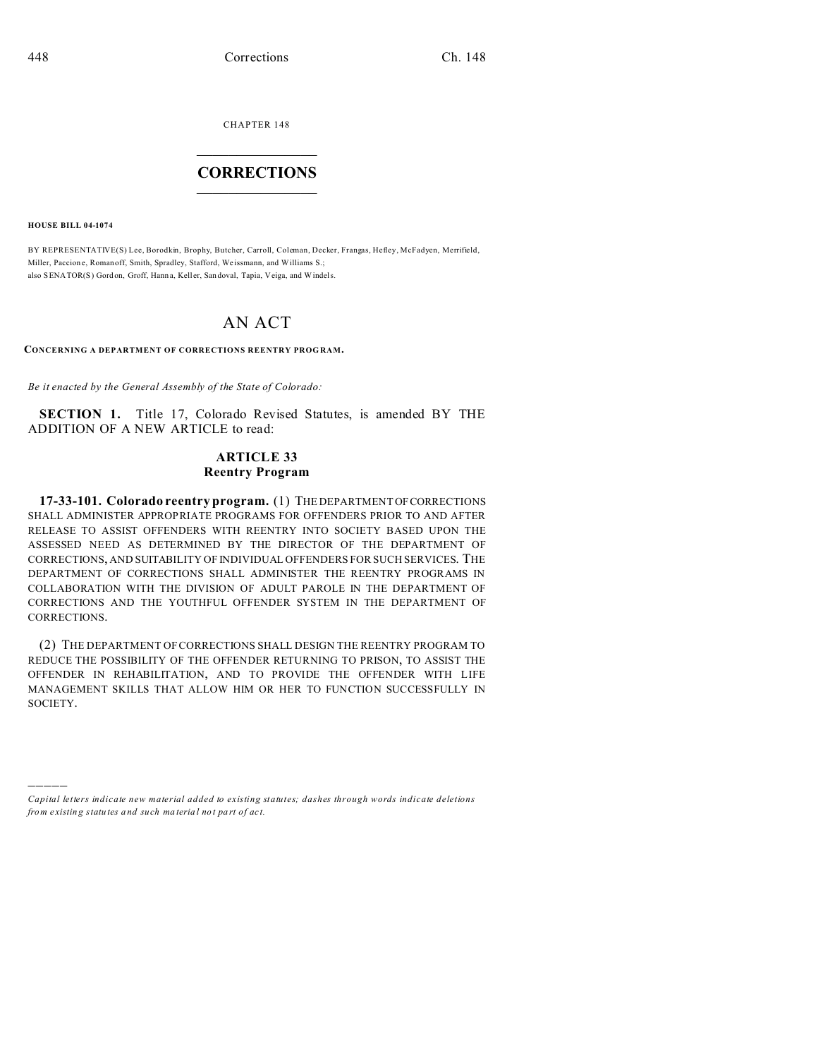CHAPTER 148

## **CORRECTIONS**

**HOUSE BILL 04-1074** 

BY REPRESENTATIVE(S) Lee, Borodkin, Brophy, Butcher, Carroll, Coleman, Decker, Frangas, Hefley, McFadyen, Merrifield, Miller, Paccione, Roman off, Smith, Spradley, Stafford, Weissmann, and Williams S.: also SENATOR(S) Gordon, Groff, Hanna, Keller, Sandoval, Tapia, Veiga, and Windels.

## AN ACT

CONCERNING A DEPARTMENT OF CORRECTIONS REENTRY PROGRAM.

Be it enacted by the General Assembly of the State of Colorado:

**SECTION 1.** Title 17, Colorado Revised Statutes, is amended BY THE ADDITION OF A NEW ARTICLE to read:

## **ARTICLE 33 Reentry Program**

17-33-101. Colorado reentry program. (1) THE DEPARTMENT OF CORRECTIONS SHALL ADMINISTER APPROPRIATE PROGRAMS FOR OFFENDERS PRIOR TO AND AFTER RELEASE TO ASSIST OFFENDERS WITH REENTRY INTO SOCIETY BASED UPON THE ASSESSED NEED AS DETERMINED BY THE DIRECTOR OF THE DEPARTMENT OF CORRECTIONS, AND SUITABILITY OF INDIVIDUAL OFFENDERS FOR SUCH SERVICES. THE DEPARTMENT OF CORRECTIONS SHALL ADMINISTER THE REENTRY PROGRAMS IN COLLABORATION WITH THE DIVISION OF ADULT PAROLE IN THE DEPARTMENT OF CORRECTIONS AND THE YOUTHFUL OFFENDER SYSTEM IN THE DEPARTMENT OF CORRECTIONS.

(2) THE DEPARTMENT OF CORRECTIONS SHALL DESIGN THE REENTRY PROGRAM TO REDUCE THE POSSIBILITY OF THE OFFENDER RETURNING TO PRISON, TO ASSIST THE OFFENDER IN REHABILITATION, AND TO PROVIDE THE OFFENDER WITH LIFE MANAGEMENT SKILLS THAT ALLOW HIM OR HER TO FUNCTION SUCCESSFULLY IN SOCIETY.

Capital letters indicate new material added to existing statutes; dashes through words indicate deletions from existing statutes and such material not part of act.